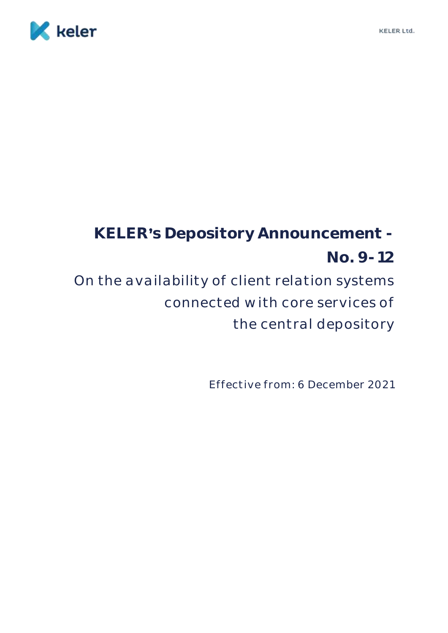

## **KELER s Depository Announcement - No. 9-12** On the availability of client relation systems connected with core services of the central depository

Effective from: 6 December 2021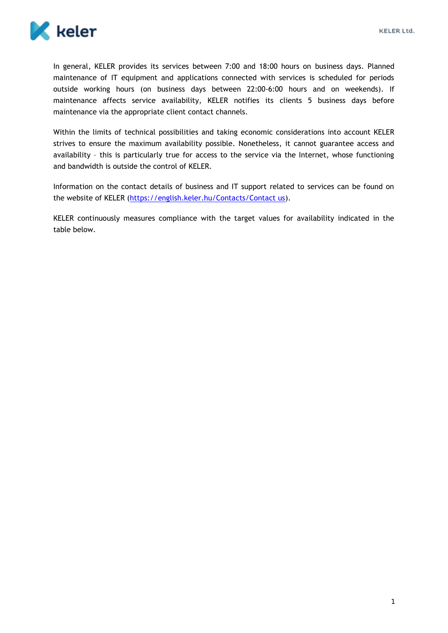

In general, KELER provides its services between 7:00 and 18:00 hours on business days. Planned maintenance of IT equipment and applications connected with services is scheduled for periods outside working hours (on business days between 22:00-6:00 hours and on weekends). If maintenance affects service availability, KELER notifies its clients 5 business days before maintenance via the appropriate client contact channels.

Within the limits of technical possibilities and taking economic considerations into account KELER strives to ensure the maximum availability possible. Nonetheless, it cannot guarantee access and availability – this is particularly true for access to the service via the Internet, whose functioning and bandwidth is outside the control of KELER.

Information on the contact details of business and IT support related to services can be found on the website of KELER [\(https://english.keler.hu/Contacts/Contact us\)](https://english.keler.hu/Contacts/Contact%20us/).

KELER continuously measures compliance with the target values for availability indicated in the table below.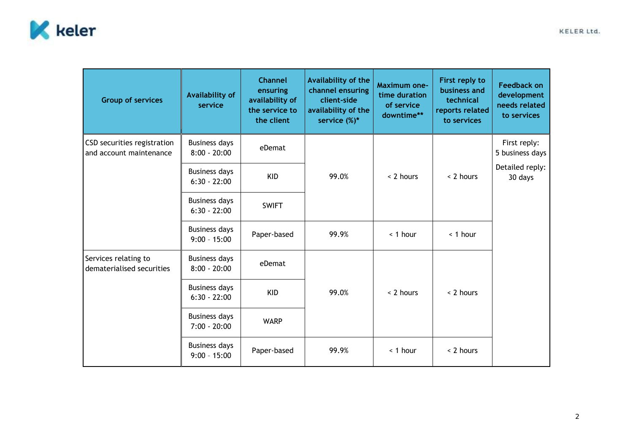

| <b>Group of services</b>                               | <b>Availability of</b><br>service      | <b>Channel</b><br>ensuring<br>availability of<br>the service to<br>the client | Availability of the<br>channel ensuring<br>client-side<br>availability of the<br>service $(\%)^*$ | <b>Maximum one-</b><br>time duration<br>of service<br>downtime** | First reply to<br>business and<br>technical<br>reports related<br>to services | <b>Feedback on</b><br>development<br>needs related<br>to services |
|--------------------------------------------------------|----------------------------------------|-------------------------------------------------------------------------------|---------------------------------------------------------------------------------------------------|------------------------------------------------------------------|-------------------------------------------------------------------------------|-------------------------------------------------------------------|
| CSD securities registration<br>and account maintenance | <b>Business days</b><br>$8:00 - 20:00$ | eDemat                                                                        | 99.0%                                                                                             | < 2 hours                                                        | < 2 hours                                                                     | First reply:<br>5 business days                                   |
|                                                        | <b>Business days</b><br>$6:30 - 22:00$ | <b>KID</b>                                                                    |                                                                                                   |                                                                  |                                                                               | Detailed reply:<br>30 days                                        |
|                                                        | <b>Business days</b><br>$6:30 - 22:00$ | <b>SWIFT</b>                                                                  |                                                                                                   |                                                                  |                                                                               |                                                                   |
|                                                        | <b>Business days</b><br>$9:00 - 15:00$ | Paper-based                                                                   | 99.9%                                                                                             | $<$ 1 hour                                                       | < 1 hour                                                                      |                                                                   |
| Services relating to<br>dematerialised securities      | <b>Business days</b><br>$8:00 - 20:00$ | eDemat                                                                        | 99.0%                                                                                             | < 2 hours                                                        | < 2 hours                                                                     |                                                                   |
|                                                        | <b>Business days</b><br>$6:30 - 22:00$ | <b>KID</b>                                                                    |                                                                                                   |                                                                  |                                                                               |                                                                   |
|                                                        | <b>Business days</b><br>$7:00 - 20:00$ | <b>WARP</b>                                                                   |                                                                                                   |                                                                  |                                                                               |                                                                   |
|                                                        | <b>Business days</b><br>$9:00 - 15:00$ | Paper-based                                                                   | 99.9%                                                                                             | < 1 hour                                                         | < 2 hours                                                                     |                                                                   |